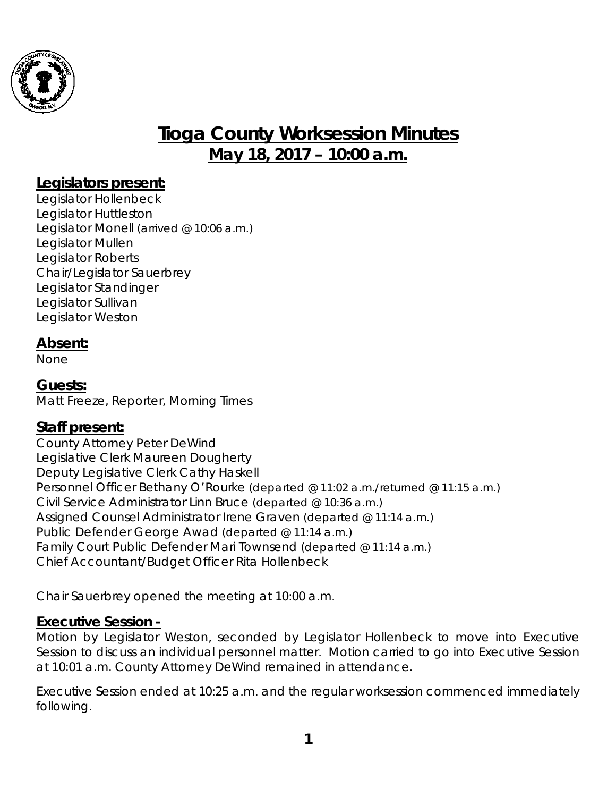

# **Tioga County Worksession Minutes May 18, 2017 – 10:00 a.m.**

### **Legislators present:**

Legislator Hollenbeck Legislator Huttleston Legislator Monell *(arrived @ 10:06 a.m.)* Legislator Mullen Legislator Roberts Chair/Legislator Sauerbrey Legislator Standinger Legislator Sullivan Legislator Weston

### **Absent:**

None

**Guests:** Matt Freeze, Reporter, Morning Times

# **Staff present:**

County Attorney Peter DeWind Legislative Clerk Maureen Dougherty Deputy Legislative Clerk Cathy Haskell Personnel Officer Bethany O'Rourke *(departed @ 11:02 a.m./returned @ 11:15 a.m.)* Civil Service Administrator Linn Bruce *(departed @ 10:36 a.m.)* Assigned Counsel Administrator Irene Graven *(departed @ 11:14 a.m.)* Public Defender George Awad *(departed @ 11:14 a.m.)* Family Court Public Defender Mari Townsend *(departed @ 11:14 a.m.)* Chief Accountant/Budget Officer Rita Hollenbeck

Chair Sauerbrey opened the meeting at 10:00 a.m.

#### **Executive Session -**

Motion by Legislator Weston, seconded by Legislator Hollenbeck to move into Executive Session to discuss an individual personnel matter. Motion carried to go into Executive Session at 10:01 a.m. County Attorney DeWind remained in attendance.

Executive Session ended at 10:25 a.m. and the regular worksession commenced immediately following.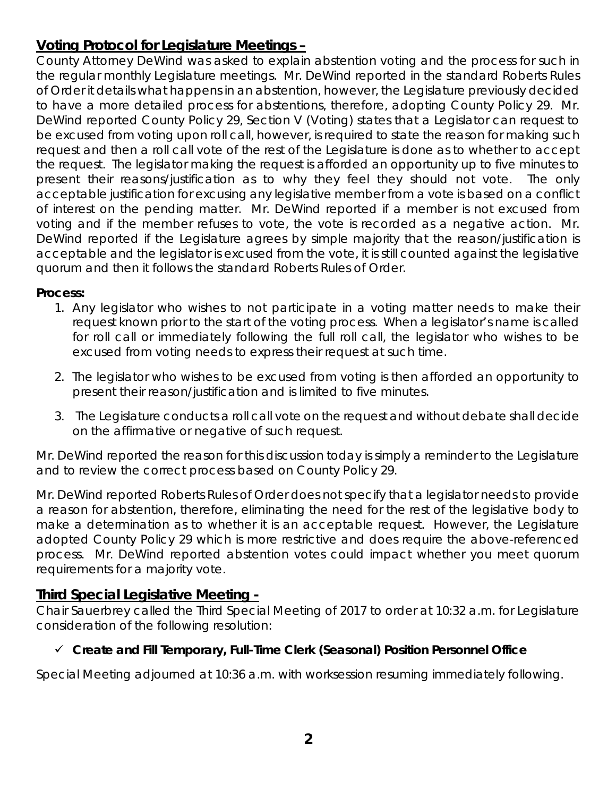# **Voting Protocol for Legislature Meetings –**

County Attorney DeWind was asked to explain abstention voting and the process for such in the regular monthly Legislature meetings. Mr. DeWind reported in the standard Roberts Rules of Order it details what happens in an abstention, however, the Legislature previously decided to have a more detailed process for abstentions, therefore, adopting County Policy 29. Mr. DeWind reported County Policy 29, Section V (Voting) states that a Legislator can request to be excused from voting upon roll call, however, is required to state the reason for making such request and then a roll call vote of the rest of the Legislature is done as to whether to accept the request. The legislator making the request is afforded an opportunity up to five minutes to present their reasons/justification as to why they feel they should not vote. The only acceptable justification for excusing any legislative member from a vote is based on a conflict of interest on the pending matter. Mr. DeWind reported if a member is not excused from voting and if the member refuses to vote, the vote is recorded as a negative action. Mr. DeWind reported if the Legislature agrees by simple majority that the reason/justification is acceptable and the legislator is excused from the vote, it is still counted against the legislative quorum and then it follows the standard Roberts Rules of Order.

#### **Process:**

- 1. Any legislator who wishes to not participate in a voting matter needs to make their request known prior to the start of the voting process. When a legislator's name is called for roll call or immediately following the full roll call, the legislator who wishes to be excused from voting needs to express their request at such time.
- 2. The legislator who wishes to be excused from voting is then afforded an opportunity to present their reason/justification and is limited to five minutes.
- 3. The Legislature conducts a roll call vote on the request and without debate shall decide on the affirmative or negative of such request.

Mr. DeWind reported the reason for this discussion today is simply a reminder to the Legislature and to review the correct process based on County Policy 29.

Mr. DeWind reported Roberts Rules of Order does not specify that a legislator needs to provide a reason for abstention, therefore, eliminating the need for the rest of the legislative body to make a determination as to whether it is an acceptable request. However, the Legislature adopted County Policy 29 which is more restrictive and does require the above-referenced process. Mr. DeWind reported abstention votes could impact whether you meet quorum requirements for a majority vote.

### **Third Special Legislative Meeting -**

Chair Sauerbrey called the Third Special Meeting of 2017 to order at 10:32 a.m. for Legislature consideration of the following resolution:

### *Create and Fill Temporary, Full-Time Clerk (Seasonal) Position Personnel Office*

Special Meeting adjourned at 10:36 a.m. with worksession resuming immediately following.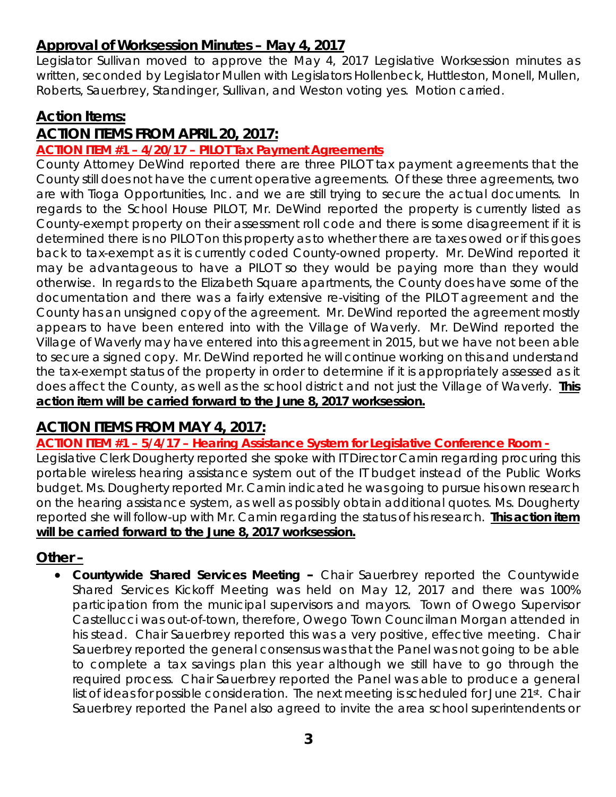# **Approval of Worksession Minutes – May 4, 2017**

Legislator Sullivan moved to approve the May 4, 2017 Legislative Worksession minutes as written, seconded by Legislator Mullen with Legislators Hollenbeck, Huttleston, Monell, Mullen, Roberts, Sauerbrey, Standinger, Sullivan, and Weston voting yes. Motion carried.

### **Action Items:**

# **ACTION ITEMS FROM APRIL 20, 2017:**

#### **ACTION ITEM #1 – 4/20/17 – PILOT Tax Payment Agreements**

County Attorney DeWind reported there are three PILOT tax payment agreements that the County still does not have the current operative agreements. Of these three agreements, two are with Tioga Opportunities, Inc. and we are still trying to secure the actual documents. In regards to the School House PILOT, Mr. DeWind reported the property is currently listed as County-exempt property on their assessment roll code and there is some disagreement if it is determined there is no PILOT on this property as to whether there are taxes owed or if this goes back to tax-exempt as it is currently coded County-owned property. Mr. DeWind reported it may be advantageous to have a PILOT so they would be paying more than they would otherwise. In regards to the Elizabeth Square apartments, the County does have some of the documentation and there was a fairly extensive re-visiting of the PILOT agreement and the County has an unsigned copy of the agreement. Mr. DeWind reported the agreement mostly appears to have been entered into with the Village of Waverly. Mr. DeWind reported the Village of Waverly may have entered into this agreement in 2015, but we have not been able to secure a signed copy. Mr. DeWind reported he will continue working on this and understand the tax-exempt status of the property in order to determine if it is appropriately assessed as it does affect the County, as well as the school district and not just the Village of Waverly. **This action item will be carried forward to the June 8, 2017 worksession.** 

# **ACTION ITEMS FROM MAY 4, 2017:**

**ACTION ITEM #1 – 5/4/17 – Hearing Assistance System for Legislative Conference Room -** 

Legislative Clerk Dougherty reported she spoke with IT Director Camin regarding procuring this portable wireless hearing assistance system out of the IT budget instead of the Public Works budget. Ms. Dougherty reported Mr. Camin indicated he was going to pursue his own research on the hearing assistance system, as well as possibly obtain additional quotes. Ms. Dougherty reported she will follow-up with Mr. Camin regarding the status of his research. **This action item will be carried forward to the June 8, 2017 worksession.** 

### **Other –**

• *Countywide Shared Services Meeting* **–** Chair Sauerbrey reported the Countywide Shared Services Kickoff Meeting was held on May 12, 2017 and there was 100% participation from the municipal supervisors and mayors. Town of Owego Supervisor Castellucci was out-of-town, therefore, Owego Town Councilman Morgan attended in his stead. Chair Sauerbrey reported this was a very positive, effective meeting. Chair Sauerbrey reported the general consensus was that the Panel was not going to be able to complete a tax savings plan this year although we still have to go through the required process. Chair Sauerbrey reported the Panel was able to produce a general list of ideas for possible consideration. The next meeting is scheduled for June 21st. Chair Sauerbrey reported the Panel also agreed to invite the area school superintendents or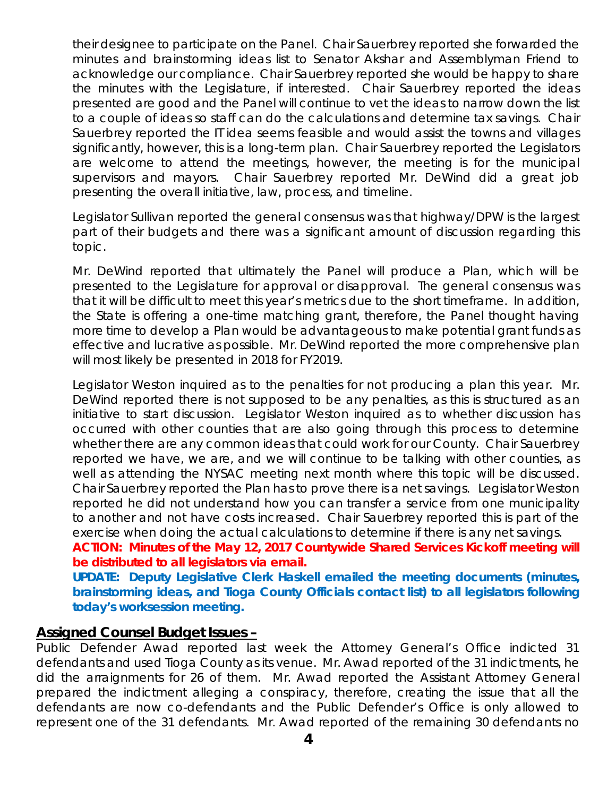their designee to participate on the Panel. Chair Sauerbrey reported she forwarded the minutes and brainstorming ideas list to Senator Akshar and Assemblyman Friend to acknowledge our compliance. Chair Sauerbrey reported she would be happy to share the minutes with the Legislature, if interested. Chair Sauerbrey reported the ideas presented are good and the Panel will continue to vet the ideas to narrow down the list to a couple of ideas so staff can do the calculations and determine tax savings. Chair Sauerbrey reported the IT idea seems feasible and would assist the towns and villages significantly, however, this is a long-term plan. Chair Sauerbrey reported the Legislators are welcome to attend the meetings, however, the meeting is for the municipal supervisors and mayors. Chair Sauerbrey reported Mr. DeWind did a great job presenting the overall initiative, law, process, and timeline.

Legislator Sullivan reported the general consensus was that highway/DPW is the largest part of their budgets and there was a significant amount of discussion regarding this topic.

Mr. DeWind reported that ultimately the Panel will produce a Plan, which will be presented to the Legislature for approval or disapproval. The general consensus was that it will be difficult to meet this year's metrics due to the short timeframe. In addition, the State is offering a one-time matching grant, therefore, the Panel thought having more time to develop a Plan would be advantageous to make potential grant funds as effective and lucrative as possible. Mr. DeWind reported the more comprehensive plan will most likely be presented in 2018 for FY2019.

Legislator Weston inquired as to the penalties for not producing a plan this year. Mr. DeWind reported there is not supposed to be any penalties, as this is structured as an initiative to start discussion. Legislator Weston inquired as to whether discussion has occurred with other counties that are also going through this process to determine whether there are any common ideas that could work for our County. Chair Sauerbrey reported we have, we are, and we will continue to be talking with other counties, as well as attending the NYSAC meeting next month where this topic will be discussed. Chair Sauerbrey reported the Plan has to prove there is a net savings. Legislator Weston reported he did not understand how you can transfer a service from one municipality to another and not have costs increased. Chair Sauerbrey reported this is part of the exercise when doing the actual calculations to determine if there is any net savings.

**ACTION: Minutes of the May 12, 2017 Countywide Shared Services Kickoff meeting will be distributed to all legislators via email.** 

**UPDATE: Deputy Legislative Clerk Haskell emailed the meeting documents (minutes, brainstorming ideas, and Tioga County Officials contact list) to all legislators following today's worksession meeting.** 

#### **Assigned Counsel Budget Issues –**

Public Defender Awad reported last week the Attorney General's Office indicted 31 defendants and used Tioga County as its venue. Mr. Awad reported of the 31 indictments, he did the arraignments for 26 of them. Mr. Awad reported the Assistant Attorney General prepared the indictment alleging a conspiracy, therefore, creating the issue that all the defendants are now co-defendants and the Public Defender's Office is only allowed to represent one of the 31 defendants. Mr. Awad reported of the remaining 30 defendants no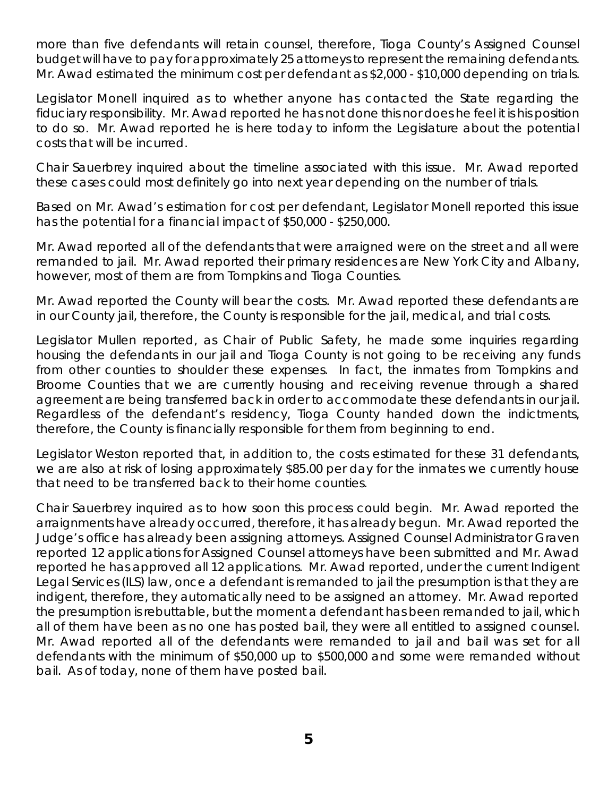more than five defendants will retain counsel, therefore, Tioga County's Assigned Counsel budget will have to pay for approximately 25 attorneys to represent the remaining defendants. Mr. Awad estimated the minimum cost per defendant as \$2,000 - \$10,000 depending on trials.

Legislator Monell inquired as to whether anyone has contacted the State regarding the fiduciary responsibility. Mr. Awad reported he has not done this nor does he feel it is his position to do so. Mr. Awad reported he is here today to inform the Legislature about the potential costs that will be incurred.

Chair Sauerbrey inquired about the timeline associated with this issue. Mr. Awad reported these cases could most definitely go into next year depending on the number of trials.

Based on Mr. Awad's estimation for cost per defendant, Legislator Monell reported this issue has the potential for a financial impact of \$50,000 - \$250,000.

Mr. Awad reported all of the defendants that were arraigned were on the street and all were remanded to jail. Mr. Awad reported their primary residences are New York City and Albany, however, most of them are from Tompkins and Tioga Counties.

Mr. Awad reported the County will bear the costs. Mr. Awad reported these defendants are in our County jail, therefore, the County is responsible for the jail, medical, and trial costs.

Legislator Mullen reported, as Chair of Public Safety, he made some inquiries regarding housing the defendants in our jail and Tioga County is not going to be receiving any funds from other counties to shoulder these expenses. In fact, the inmates from Tompkins and Broome Counties that we are currently housing and receiving revenue through a shared agreement are being transferred back in order to accommodate these defendants in our jail. Regardless of the defendant's residency, Tioga County handed down the indictments, therefore, the County is financially responsible for them from beginning to end.

Legislator Weston reported that, in addition to, the costs estimated for these 31 defendants, we are also at risk of losing approximately \$85.00 per day for the inmates we currently house that need to be transferred back to their home counties.

Chair Sauerbrey inquired as to how soon this process could begin. Mr. Awad reported the arraignments have already occurred, therefore, it has already begun. Mr. Awad reported the Judge's office has already been assigning attorneys. Assigned Counsel Administrator Graven reported 12 applications for Assigned Counsel attorneys have been submitted and Mr. Awad reported he has approved all 12 applications. Mr. Awad reported, under the current Indigent Legal Services (ILS) law, once a defendant is remanded to jail the presumption is that they are indigent, therefore, they automatically need to be assigned an attorney. Mr. Awad reported the presumption is rebuttable, but the moment a defendant has been remanded to jail, which all of them have been as no one has posted bail, they were all entitled to assigned counsel. Mr. Awad reported all of the defendants were remanded to jail and bail was set for all defendants with the minimum of \$50,000 up to \$500,000 and some were remanded without bail. As of today, none of them have posted bail.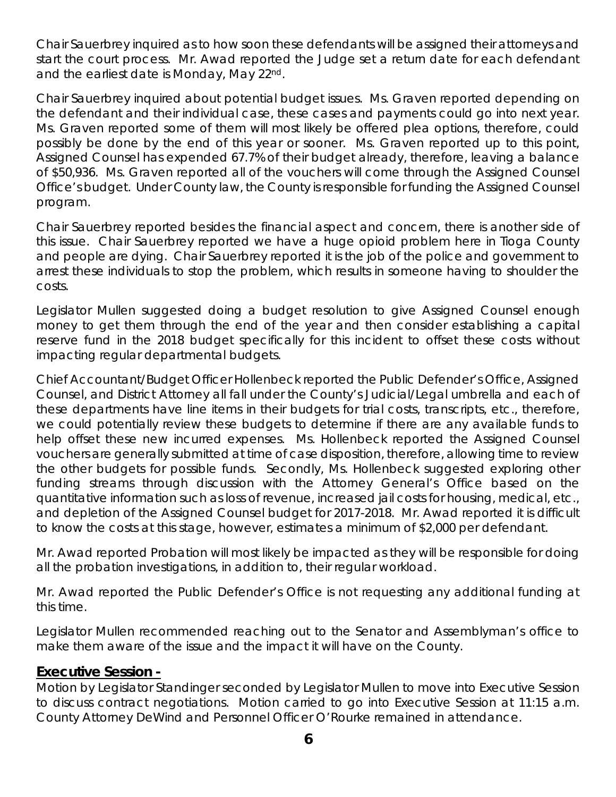Chair Sauerbrey inquired as to how soon these defendants will be assigned their attorneys and start the court process. Mr. Awad reported the Judge set a return date for each defendant and the earliest date is Monday, May 22nd.

Chair Sauerbrey inquired about potential budget issues. Ms. Graven reported depending on the defendant and their individual case, these cases and payments could go into next year. Ms. Graven reported some of them will most likely be offered plea options, therefore, could possibly be done by the end of this year or sooner. Ms. Graven reported up to this point, Assigned Counsel has expended 67.7% of their budget already, therefore, leaving a balance of \$50,936. Ms. Graven reported all of the vouchers will come through the Assigned Counsel Office's budget. Under County law, the County is responsible for funding the Assigned Counsel program.

Chair Sauerbrey reported besides the financial aspect and concern, there is another side of this issue. Chair Sauerbrey reported we have a huge opioid problem here in Tioga County and people are dying. Chair Sauerbrey reported it is the job of the police and government to arrest these individuals to stop the problem, which results in someone having to shoulder the costs.

Legislator Mullen suggested doing a budget resolution to give Assigned Counsel enough money to get them through the end of the year and then consider establishing a capital reserve fund in the 2018 budget specifically for this incident to offset these costs without impacting regular departmental budgets.

Chief Accountant/Budget Officer Hollenbeck reported the Public Defender's Office, Assigned Counsel, and District Attorney all fall under the County's Judicial/Legal umbrella and each of these departments have line items in their budgets for trial costs, transcripts, etc., therefore, we could potentially review these budgets to determine if there are any available funds to help offset these new incurred expenses. Ms. Hollenbeck reported the Assigned Counsel vouchers are generally submitted at time of case disposition, therefore, allowing time to review the other budgets for possible funds. Secondly, Ms. Hollenbeck suggested exploring other funding streams through discussion with the Attorney General's Office based on the quantitative information such as loss of revenue, increased jail costs for housing, medical, etc., and depletion of the Assigned Counsel budget for 2017-2018. Mr. Awad reported it is difficult to know the costs at this stage, however, estimates a minimum of \$2,000 per defendant.

Mr. Awad reported Probation will most likely be impacted as they will be responsible for doing all the probation investigations, in addition to, their regular workload.

Mr. Awad reported the Public Defender's Office is not requesting any additional funding at this time.

Legislator Mullen recommended reaching out to the Senator and Assemblyman's office to make them aware of the issue and the impact it will have on the County.

#### **Executive Session -**

Motion by Legislator Standinger seconded by Legislator Mullen to move into Executive Session to discuss contract negotiations. Motion carried to go into Executive Session at 11:15 a.m. County Attorney DeWind and Personnel Officer O'Rourke remained in attendance.